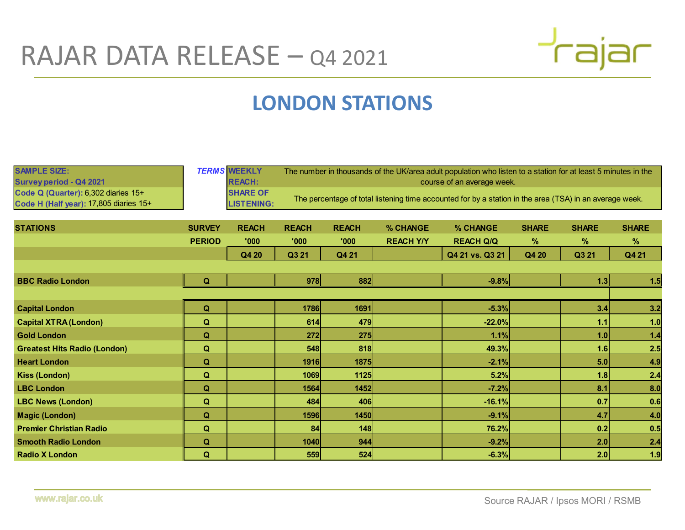

## LONDON STATIONS

| RAJAR DATA RELEASE - Q4 2021                                                                                                    |                  |                                                                              |              |                            |                                                                                                                                                                                                                          |                  |              |              |              |  |  |
|---------------------------------------------------------------------------------------------------------------------------------|------------------|------------------------------------------------------------------------------|--------------|----------------------------|--------------------------------------------------------------------------------------------------------------------------------------------------------------------------------------------------------------------------|------------------|--------------|--------------|--------------|--|--|
|                                                                                                                                 |                  |                                                                              |              |                            | <b>LONDON STATIONS</b>                                                                                                                                                                                                   |                  |              |              |              |  |  |
| <b>SAMPLE SIZE:</b><br>Survey period - Q4 2021<br>Code Q (Quarter): 6,302 diaries 15+<br>Code H (Half year): 17,805 diaries 15+ |                  | <b>TERMS WEEKLY</b><br><b>REACH:</b><br><b>SHARE OF</b><br><b>LISTENING:</b> |              | course of an average week. | The number in thousands of the UK/area adult population who listen to a station for at least 5 minutes in the<br>The percentage of total listening time accounted for by a station in the area (TSA) in an average week. |                  |              |              |              |  |  |
| <b>STATIONS</b>                                                                                                                 | <b>SURVEY</b>    | <b>REACH</b>                                                                 | <b>REACH</b> | <b>REACH</b>               | % CHANGE                                                                                                                                                                                                                 | % CHANGE         | <b>SHARE</b> | <b>SHARE</b> | <b>SHARE</b> |  |  |
|                                                                                                                                 | <b>PERIOD</b>    | '000'                                                                        | '000         | '000'                      | <b>REACH Y/Y</b>                                                                                                                                                                                                         | <b>REACH Q/Q</b> | $\%$         | $\%$         | $\%$         |  |  |
|                                                                                                                                 |                  | Q4 20                                                                        | Q3 21        | Q4 21                      |                                                                                                                                                                                                                          | Q4 21 vs. Q3 21  | Q4 20        | Q3 21        | Q4 21        |  |  |
|                                                                                                                                 |                  |                                                                              |              |                            |                                                                                                                                                                                                                          |                  |              |              |              |  |  |
| <b>BBC Radio London</b>                                                                                                         | ∩                |                                                                              | 978          | 882                        |                                                                                                                                                                                                                          | $-9.8%$          |              | 1.3          |              |  |  |
| <b>Capital London</b>                                                                                                           | Q                |                                                                              | 1786         | 1691                       |                                                                                                                                                                                                                          | $-5.3%$          |              | 3.4          | 3.2          |  |  |
| <b>Capital XTRA (London)</b>                                                                                                    | $\mathbf Q$      |                                                                              | 614          | 479                        |                                                                                                                                                                                                                          | $-22.0%$         |              | 1.1          | 1.0          |  |  |
| <b>Gold London</b>                                                                                                              | $\mathbf Q$      |                                                                              | 272          | 275                        |                                                                                                                                                                                                                          | 1.1%             |              | 1.0          | 1.4          |  |  |
| <b>Greatest Hits Radio (London)</b>                                                                                             | $\mathbf Q$      |                                                                              | 548          | 818                        |                                                                                                                                                                                                                          | 49.3%            |              | 1.6          | 2.5          |  |  |
| <b>Heart London</b>                                                                                                             | Q                |                                                                              | 1916         | 1875                       |                                                                                                                                                                                                                          | $-2.1%$          |              | 5.0          | 4.9          |  |  |
| <b>Kiss (London)</b>                                                                                                            | $\mathbf Q$      |                                                                              | 1069         | 1125                       |                                                                                                                                                                                                                          | 5.2%             |              | 1.8          | 2.4          |  |  |
| <b>LBC London</b>                                                                                                               | $\Omega$<br>- 34 |                                                                              | 1564         | 1452                       |                                                                                                                                                                                                                          | $-7.2%$          |              | 8.1          | 8.0          |  |  |
| <b>LBC News (London)</b>                                                                                                        | $\mathbf Q$      |                                                                              | 484          | 406                        |                                                                                                                                                                                                                          | $-16.1%$         |              | $\vert$ 0.7  | 0.6          |  |  |
| <b>Magic (London)</b>                                                                                                           | $\mathbf Q$      |                                                                              | 1596         | 1450                       |                                                                                                                                                                                                                          | $-9.1%$          |              | 4.7          | 4.0          |  |  |
| <b>Premier Christian Radio</b>                                                                                                  | $\mathbf Q$      |                                                                              | 84           | 148                        |                                                                                                                                                                                                                          | 76.2%            |              | 0.2          | 0.5          |  |  |
| <b>Smooth Radio London</b>                                                                                                      | $\mathbf Q$      |                                                                              | 1040         | 944                        |                                                                                                                                                                                                                          | $-9.2%$          |              | 2.0          | 2.4          |  |  |
| <b>Radio X London</b>                                                                                                           | $\mathbf Q$      |                                                                              | 559          | 524                        |                                                                                                                                                                                                                          | $-6.3%$          |              | 2.0          | 1.9          |  |  |